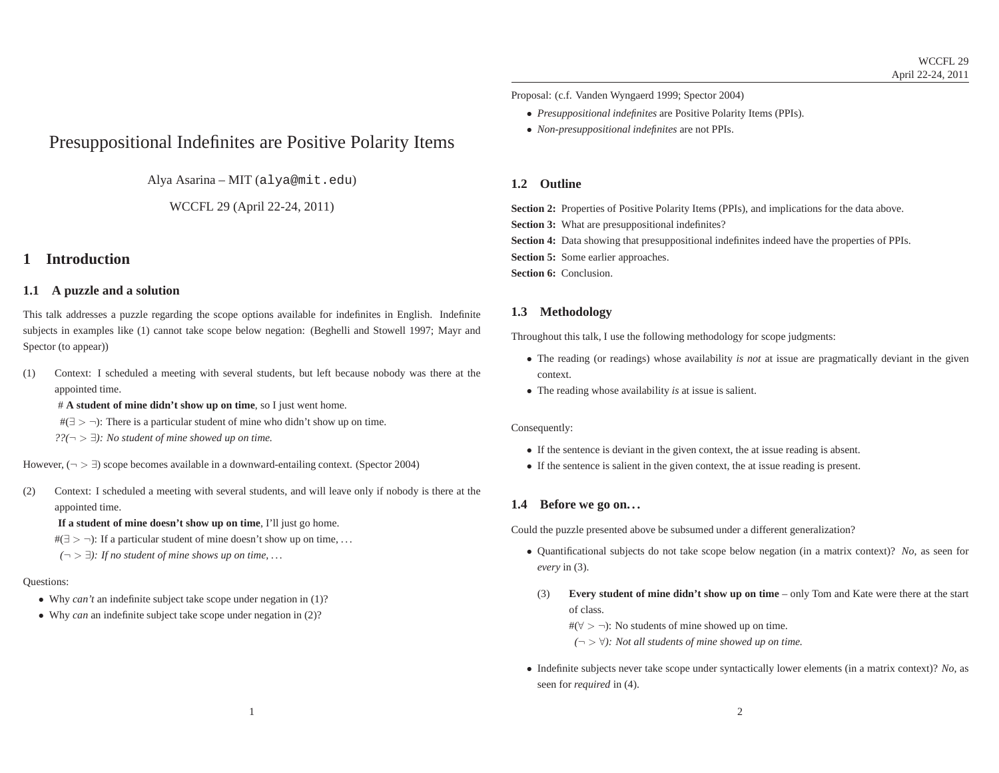# Presuppositional Indefinites are Positive Polarity Items

Alya Asarina – MIT (alya@mit.edu)

WCCFL 29 (April 22-24, 2011)

### **1 Introduction**

### **1.1 A puzzle and <sup>a</sup> solution**

This talk addresses <sup>a</sup> puzzle regarding the scope options available for indefinites in English. Indefinitesubjects in examples like (1) cannot take scope below negation: (Beghelli and Stowell 1997; Mayr andSpector (to appear))

(1) Context: I scheduled <sup>a</sup> meeting with several students, but left because nobody was there at theappointed time.

# **<sup>A</sup> student of mine didn't show up on time**, so <sup>I</sup> just went home.

 $#(\exists > \neg)$ : There is a particular student of mine who didn't show up on time.

*??(*¬> <sup>∃</sup>*): No student of mine showed up on time.*

However, (¬> <sup>∃</sup>) scope becomes available in <sup>a</sup> downward-entailing context. (Spector 2004)

(2) Context: I scheduled <sup>a</sup> meeting with several students, and will leave only if nobody is there at theappointed time.

**If <sup>a</sup> student of mine doesn't show up on time**, I'll just go home.

#( $\exists$  > ¬): If a particular student of mine doesn't show up on time, ...

 $( \neg > \exists )$ : If no student of mine shows up on time, ...

#### Questions:

- Why *can't* an indefinite subject take scope under negation in (1)?
- Why *can* an indefinite subject take scope under negation in (2)?

Proposal: (c.f. Vanden Wyngaerd 1999; Spector 2004)

- *Presuppositional indefinites* are Positive Polarity Items (PPIs).
- *Non-presuppositional indefinites* are not PPIs.

### **1.2 Outline**

**Section 2:** Properties of Positive Polarity Items (PPIs), and implications for the data above.

**Section 3:** What are presuppositional indefinites?

**Section 4:** Data showing that presuppositional indefinites indeed have the properties of PPIs.

**Section 5:** Some earlier approaches.

**Section 6:** Conclusion.

### **1.3 Methodology**

Throughout this talk, I use the following methodology for scope judgments:

- The reading (or readings) whose availability *is not* at issue are pragmatically deviant in the <sup>g</sup>iven context.
- The reading whose availability *is* at issue is salient.

#### Consequently:

- If the sentence is deviant in the <sup>g</sup>iven context, the at issue reading is absent.
- If the sentence is salient in the <sup>g</sup>iven context, the at issue reading is present.

### **1.4 Before we go on. . .**

Could the puzzle presented above be subsumed under <sup>a</sup> different generalization?

- Quantificational subjects do not take scope below negation (in <sup>a</sup> matrix context)? *No*, as seen for *every* in (3).
- (3) **Every student of mine didn't show up on time** – only Tom and Kate were there at the start of class.

#( $\forall$  > ¬): No students of mine showed up on time.

- #*(*¬>∀*): Not all students of mine showed up on time.*
- Indefinite subjects never take scope under syntactically lower elements (in <sup>a</sup> matrix context)? *No*, as seen for *required* in (4).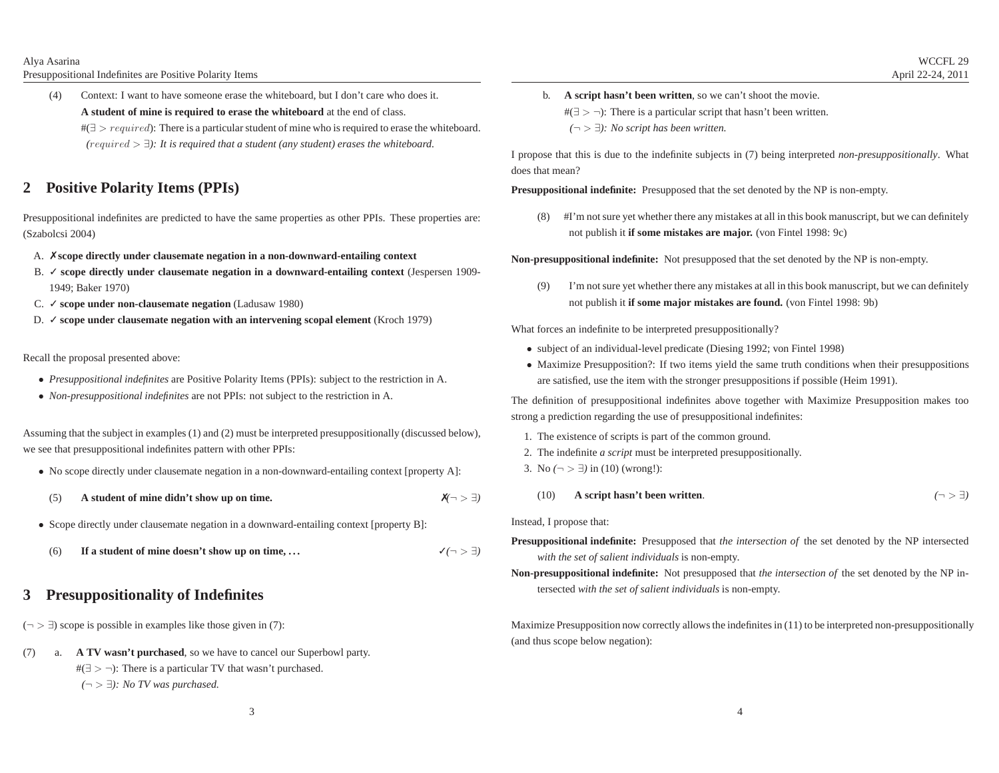(4) Context: I want to have someone erase the whiteboard, but <sup>I</sup> don't care who does it. **A student of mine is required to erase the whiteboard** at the end of class.  $\#(\exists > required)$ : There is a particular student of mine who is required to erase the whiteboard.  $(required > \exists)$ : It is required that a student (any student) erases the whiteboard.

### **2 Positive Polarity Items (PPIs)**

Presuppositional indefinites are predicted to have the same properties as other PPIs. These properties are: (Szabolcsi 2004)

- A. ✗ **scope directly under clausemate negation in <sup>a</sup> non-downward-entailing context**
- B. ✓ **scope directly under clausemate negation in <sup>a</sup> downward-entailing context** (Jespersen 1909- 1949; Baker 1970)
- C. ✓ **scope under non-clausemate negation** (Ladusaw 1980)
- D. ✓ **scope under clausemate negation with an intervening scopa<sup>l</sup> element** (Kroch 1979)

Recall the proposal presented above:

- *Presuppositional indefinites* are Positive Polarity Items (PPIs): subject to the restriction in A.
- *Non-presuppositional indefinites* are not PPIs: not subject to the restriction in A.

Assuming that the subject in examples (1) and (2) must be interpreted presuppositionally (discussed below), we see that presuppositional indefinites pattern with other PPIs:

- No scope directly under clausemate negation in <sup>a</sup> non-downward-entailing context [property A]:
- (5) **<sup>A</sup> student of mine didn't show up on time.** ✗*(*<sup>¬</sup><sup>&</sup>gt; <sup>∃</sup>*)*
- Scope directly under clausemate negation in <sup>a</sup> downward-entailing context [property B]:
- (6)If a student of mine doesn't show up on time, ... <sup>&</sup>gt; <sup>∃</sup>*)*

### **3 Presuppositionality of Indefinites**

 $(¬ > ∃)$  scope is possible in examples like those given in (7):

(7) a. **A TV wasn't purchased**, so we have to cancel our Superbowl party.  $#(\exists > \neg)$ : There is a particular TV that wasn't purchased.  $(¬ > ∃)$ : *No TV* was purchased.

b. **A script hasn't been written**, so we can't shoot the movie. #( $\exists$  >  $\neg$ ): There is a particular script that hasn't been written. #*(*¬ <sup>&</sup>gt; <sup>∃</sup>*): No script has been written.*

I propose that this is due to the indefinite subjects in (7) being interpreted *non-presuppositionally*. What does that mean?

**Presuppositional indefinite:** Presupposed that the set denoted by the NP is non-empty.

(8) #I'm not sure ye<sup>t</sup> whether there any mistakes at all in this book manuscript, but we can definitelynot publish it **if some mistakes are major.** (von Fintel 1998: 9c)

**Non-presuppositional indefinite:** Not presuppose<sup>d</sup> that the set denoted by the NP is non-empty.

(9) I'm not sure ye<sup>t</sup> whether there any mistakes at all in this book manuscript, but we can definitelynot publish it **if some major mistakes are found.** (von Fintel 1998: 9b)

What forces an indefinite to be interpreted presuppositionally?

- subject of an individual-level predicate (Diesing 1992; von Fintel 1998)
- Maximize Presupposition?: If two items <sup>y</sup>ield the same truth conditions when their presuppositions are satisfied, use the item with the stronger presuppositions if possible (Heim 1991).

The definition of presuppositional indefinites above together with Maximize Presupposition makes toostrong <sup>a</sup> prediction regarding the use of presuppositional indefinites:

- 1. The existence of scripts is par<sup>t</sup> of the common ground.
- 2. The indefinite *<sup>a</sup> script* must be interpreted presuppositionally.
- 3. No *(*<sup>¬</sup> <sup>&</sup>gt; <sup>∃</sup>*)* in (10) (wrong!):
- (10) **<sup>A</sup> script hasn't been written**. *(*<sup>¬</sup><sup>&</sup>gt; <sup>∃</sup>*)*

Instead, I propose that:

- **Presuppositional indefinite:** Presupposed that *the intersection of* the set denoted by the NP intersected*with the set of salient individuals* is non-empty.
- **Non-presuppositional indefinite:** Not presuppose<sup>d</sup> that *the intersection of* the set denoted by the NP intersected *with the set of salient individuals* is non-empty.

Maximize Presupposition now correctly allows the indefinites in (11) to be interpreted non-presuppositionally(and thus scope below negation):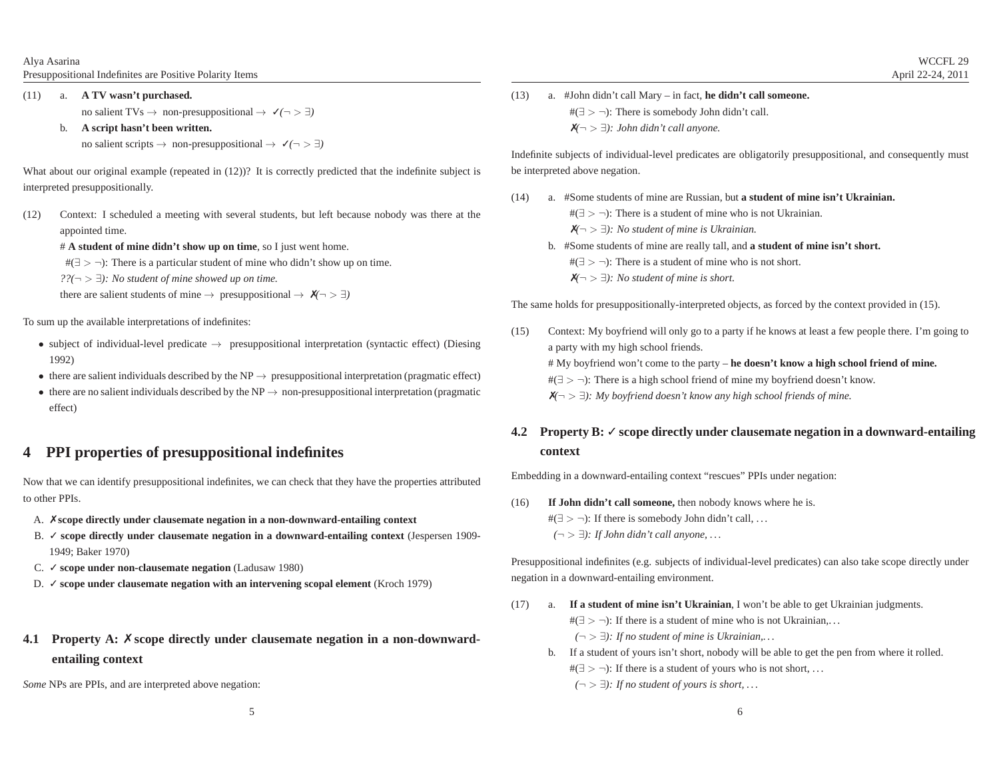(11) a. **A TV wasn't purchased.**

no salient TVs  $\rightarrow$  non-presuppositional  $\rightarrow \checkmark$  ( $\rightarrow$   $\geq$ )

b. **A script hasn't been written.** no salient scripts  $\rightarrow$  non-presuppositional  $\rightarrow$   $\checkmark$  ( $\rightarrow$   $\exists$ )

What about our original example (repeated in  $(12)$ )? It is correctly predicted that the indefinite subject is interpreted presuppositionally.

(12) Context: I scheduled <sup>a</sup> meeting with several students, but left because nobody was there at theappointed time.

# **<sup>A</sup> student of mine didn't show up on time**, so <sup>I</sup> just went home.

 $#(∃ > ¬)$ : There is a particular student of mine who didn't show up on time.

*??(*¬ <sup>&</sup>gt; <sup>∃</sup>*): No student of mine showed up on time.*

there are salient students of mine  $\rightarrow$  presuppositional  $\rightarrow$   $X(\neg > \exists)$ 

To sum up the available interpretations of indefinites:

- subject of individual-level predicate  $\rightarrow$  presuppositional interpretation (syntactic effect) (Diesing 1992) 1992)
- there are salient individuals described by the NP  $\rightarrow$  presuppositional interpretation (pragmatic effect)
- there are no salient individuals described by the NP  $\rightarrow$  non-presuppositional interpretation (pragmatic  $\hat{c}$ ) effect)

## **4 PPI properties of presuppositional indefinites**

Now that we can identify presuppositional indefinites, we can check that they have the properties attributedto other PPIs.

- A. ✗ **scope directly under clausemate negation in <sup>a</sup> non-downward-entailing context**
- B. ✓ **scope directly under clausemate negation in <sup>a</sup> downward-entailing context** (Jespersen 1909- 1949; Baker 1970)
- C. ✓ **scope under non-clausemate negation** (Ladusaw 1980)
- D. ✓ **scope under clausemate negation with an intervening scopa<sup>l</sup> element** (Kroch 1979)
- **4.1 Property A:** ✗ **scope directly under clausemate negation in <sup>a</sup> non-downwardentailing context**

*Some* NPs are PPIs, and are interpreted above negation:

(13) a. #John didn't call Mary – in fact, **he didn't call someone.** #( $\exists$  > ¬): There is somebody John didn't call. ✗*(*¬ <sup>&</sup>gt; <sup>∃</sup>*): John didn't call anyone.*

Indefinite subjects of individual-level predicates are obligatorily presuppositional, and consequently mustbe interpreted above negation.

- (14) a. #Some students of mine are Russian, but **<sup>a</sup> student of mine isn't Ukrainian.**  $#(\exists > \neg)$ : There is a student of mine who is not Ukrainian. ✗*(*¬ <sup>&</sup>gt; <sup>∃</sup>*): No student of mine is Ukrainian.* b. #Some students of mine are really tall, and **<sup>a</sup> student of mine isn't short.**  $#(\exists > \neg)$ : There is a student of mine who is not short.
	- ✗*(*¬ <sup>&</sup>gt; <sup>∃</sup>*): No student of mine is short.*

The same holds for presuppositionally-interpreted objects, as forced by the context provided in (15).

(15) Context: My boyfriend will only go to <sup>a</sup> party if he knows at least <sup>a</sup> few people there. I'm going to<sup>a</sup> party with my high school friends. # My boyfriend won't come to the party – **he doesn't know <sup>a</sup> high school friend of mine.** #(∃ <sup>&</sup>gt; <sup>¬</sup>): There is <sup>a</sup> high school friend of mine my boyfriend doesn't know. ✗*(*¬ <sup>&</sup>gt; <sup>∃</sup>*): My boyfriend doesn't know any high school friends of mine.*

# **4.2 Property B:** ✓ **scope directly under clausemate negation in <sup>a</sup> downward-entailing context**

Embedding in <sup>a</sup> downward-entailing context "rescues" PPIs under negation:

(16) **If John didn't call someone,** then nobody knows where he is.  $#(\exists > \neg)$ : If there is somebody John didn't call, ...  $(- > \exists)$ : *If John didn't call anyone,*  $\ldots$ 

Presuppositional indefinites (e.g. subjects of individual-level predicates) can also take scope directly undernegation in <sup>a</sup> downward-entailing environment.

- (17) a. **If <sup>a</sup> student of mine isn't Ukrainian**, I won't be able to ge<sup>t</sup> Ukrainian judgments.  $#(\exists > \neg)$ : If there is a student of mine who is not Ukrainian,...  $(- > \exists)$ : *If no student of mine is Ukrainian,...* 
	- b. If <sup>a</sup> student of yours isn't short, nobody will be able to ge<sup>t</sup> the pen from where it rolled.  $#(\exists > \neg)$ : If there is a student of yours who is not short, ...  $(- > \exists)$ : *If* no student of yours is short,  $\dots$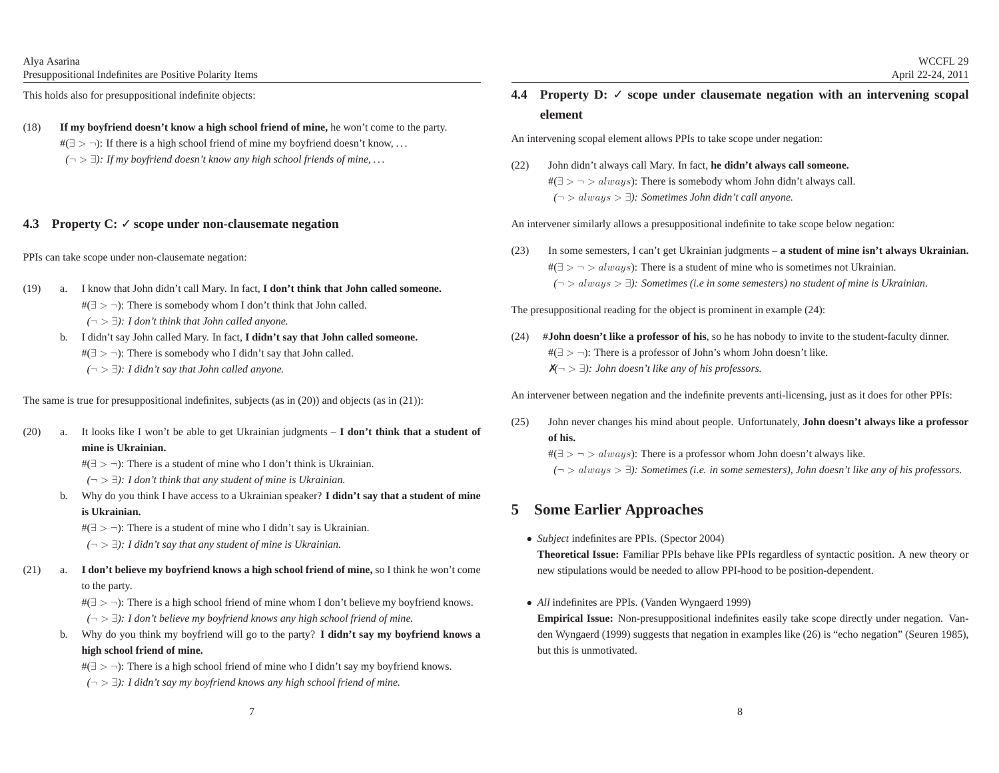WCCFL 29April 22-24, 2011

Alya AsarinaPresuppositional Indefinites are Positive Polarity Items

This holds also for presuppositional indefinite objects:

- (18)If my boyfriend doesn't know a high school friend of mine, he won't come to the party.
	- #(∃ <sup>&</sup>gt; <sup>¬</sup>): If there is <sup>a</sup> high school friend of mine my boyfriend doesn't know, . . .
	- $( \neg > \exists )$ : If my boyfriend doesn't know any high school friends of mine, ...

# **4.3 Property C:** ✓ **scope under non-clausemate negation**

PPIs can take scope under non-clausemate negation:

- (19) a. I know that John didn't call Mary. In fact, **I don't think that John called someone.**  $#(\exists > \neg)$ : There is somebody whom I don't think that John called. #*(*¬ <sup>&</sup>gt; <sup>∃</sup>*): <sup>I</sup> don't think that John called anyone.*
	- b. I didn't say John called Mary. In fact, **I didn't say that John called someone.** #( $\exists$  > ¬): There is somebody who I didn't say that John called. #*(*¬ <sup>&</sup>gt; <sup>∃</sup>*): <sup>I</sup> didn't say that John called anyone.*

The same is true for presuppositional indefinites, subjects (as in (20)) and objects (as in (21)):

- (20) a. It looks like I won't be able to ge<sup>t</sup> Ukrainian judgments **<sup>I</sup> don't think that <sup>a</sup> student of mine is Ukrainian.**
	- #( $\exists$  >  $\neg$ ): There is a student of mine who I don't think is Ukrainian.
	- #*(*¬ <sup>&</sup>gt; <sup>∃</sup>*): <sup>I</sup> don't think that any student of mine is Ukrainian.*
	- b. Why do you think I have access to <sup>a</sup> Ukrainian speaker? **<sup>I</sup> didn't say that <sup>a</sup> student of mine is Ukrainian.**

#(∃ <sup>&</sup>gt; <sup>¬</sup>): There is <sup>a</sup> student of mine who <sup>I</sup> didn't say is Ukrainian.

- #*(*¬ <sup>&</sup>gt; <sup>∃</sup>*): <sup>I</sup> didn't say that any student of mine is Ukrainian.*
- (21) a. I don't believe my boyfriend knows a high school friend of mine, so I think he won't come to the party.

#(∃ <sup>&</sup>gt; <sup>¬</sup>): There is <sup>a</sup> high school friend of mine whom <sup>I</sup> don't believe my boyfriend knows.  $( \neg > \exists )$ : I don't believe my boyfriend knows any high school friend of mine.

- b. Why do you think my boyfriend will go to the party? **<sup>I</sup> didn't say my boyfriend knows <sup>a</sup>high school friend of mine.**
	- #(∃ <sup>&</sup>gt; <sup>¬</sup>): There is <sup>a</sup> high school friend of mine who <sup>I</sup> didn't say my boyfriend knows.  $( \neg > \exists )$ : I didn't say my boyfriend knows any high school friend of mine.

### **4.4 Property D:** ✓ **scope under clausemate negation with an intervening scopa<sup>l</sup> element**

An intervening scopal element allows PPIs to take scope under negation:

(22) John didn't always call Mary. In fact, **he didn't always call someone.** #( $\exists$  > ¬ > always): There is somebody whom John didn't always call. #*(*¬ <sup>&</sup>gt; always <sup>&</sup>gt; <sup>∃</sup>*): Sometimes John didn't call anyone.*

An intervener similarly allows <sup>a</sup> presuppositional indefinite to take scope below negation:

(23) In some semesters, I can't ge<sup>t</sup> Ukrainian judgments – **<sup>a</sup> student of mine isn't always Ukrainian.** #( $\exists$  >  $\neg$  > always): There is a student of mine who is sometimes not Ukrainian.  $( \neg > always > \exists )$ : Sometimes (i.e in some semesters) no student of mine is Ukrainian.

The presuppositional reading for the object is prominent in example (24):

(24) #**John doesn't like <sup>a</sup> professor of his**, so he has nobody to invite to the student-faculty dinner. #( $\exists$  > ¬): There is a professor of John's whom John doesn't like. ✗*(*¬ <sup>&</sup>gt; <sup>∃</sup>*): John doesn't like any of his professors.*

An intervener between negation and the indefinite prevents anti-licensing, just as it does for other PPIs:

(25) John never changes his mind about people. Unfortunately, **John doesn't always like <sup>a</sup> professorof his.**

#( $\exists$  > ¬ > always): There is a professor whom John doesn't always like.  $(\neg > always > \exists)$ : Sometimes (i.e. in some semesters), John doesn't like any of his professors.

# **5 Some Earlier Approaches**

• *Subject* indefinites are PPIs. (Spector 2004)

**Theoretical Issue:** Familiar PPIs behave like PPIs regardless of syntactic position. <sup>A</sup> new theory or new stipulations would be needed to allow PPI-hood to be position-dependent.

• *All* indefinites are PPIs. (Vanden Wyngaerd 1999)

**Empirical Issue:** Non-presuppositional indefinites easily take scope directly under negation. Vanden Wyngaerd (1999) suggests that negation in examples like (26) is "echo negation" (Seuren 1985), but this is unmotivated.